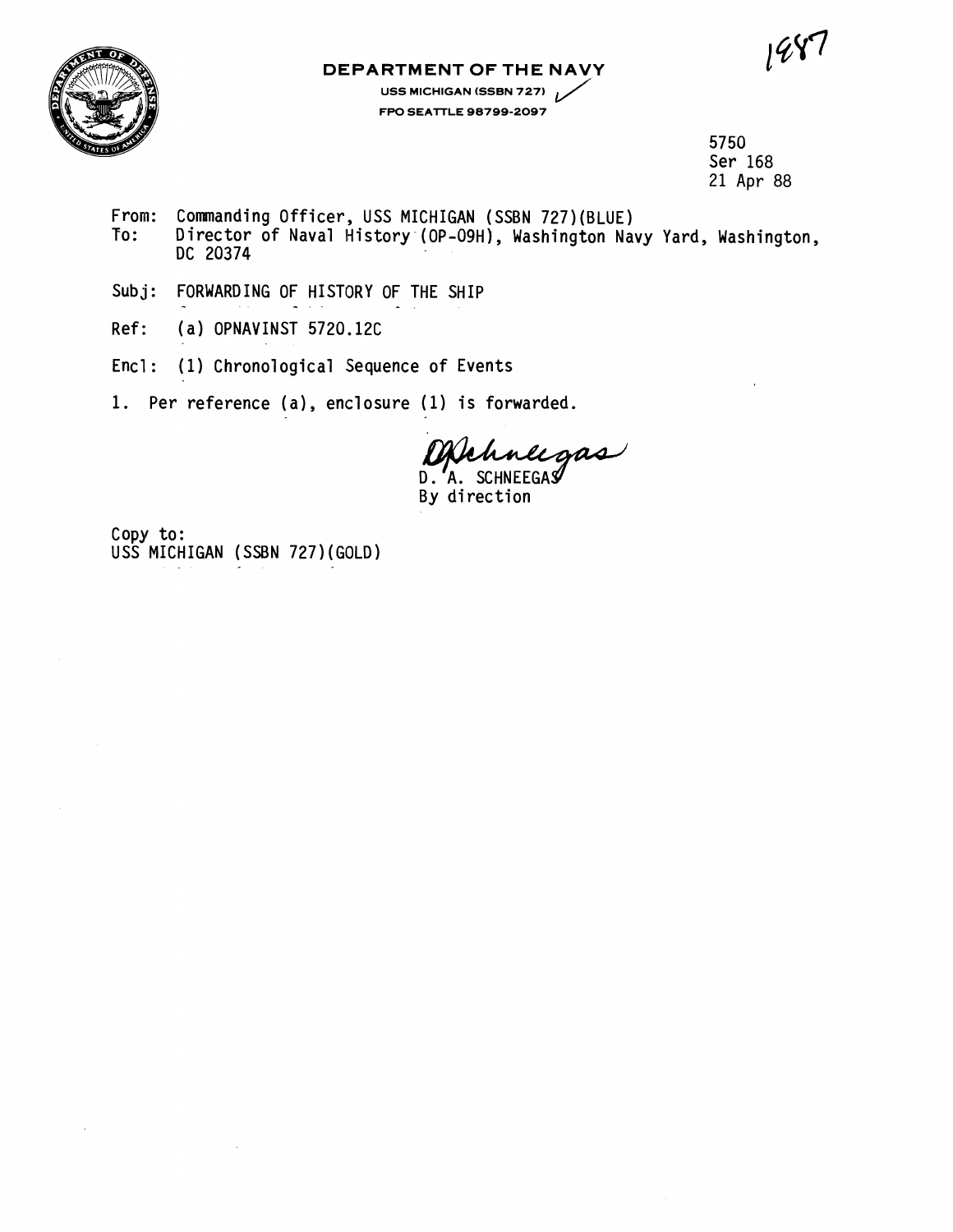$1\%$ 



## **DEPARTMENT OF THE NAVY**

**RTMENT OF THE NAVY**<br>USS MICHIGAN (SSBN 727)<br>FPO SEATTLE 98799-2097 **FPO SEAlTLE 98799-2097** 

> 5750 Ser 168 21 Apr 88

- From: Commanding Officer, USS MICHIGAN (SSBN 727) (BLUE)<br>To: Director of Naval History (OP-O9H), Washington Nav Director of Naval History (OP-09H), Washington Navy Yard, Washington, DC 20374
- Subj: FORWARDING OF HISTORY OF THE SHIP
- Ref: ( a) OPNAVINST 5720.12C
- Encl: (1) Chronological Sequence of Events
- 1. Per reference (a), enclosure (1) is forwarded.

Uplance gas D.' A

Copy to: USS MICHIGAN (SSBN 727) (GOLD)